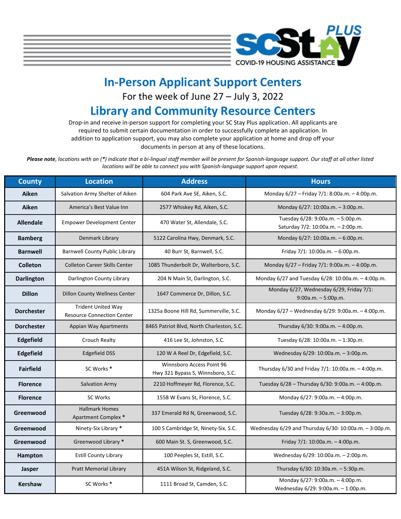

## **In-Person Applicant Support Centers**

For the week of June 27 – July 3, 2022

## **Library and Community Resource Centers**

Drop-in and receive in-person support for completing your SC Stay Plus application. All applicants are required to submit certain documentation in order to successfully complete an application. In addition to application support, you may also complete your application at home and drop off your documents in person at any of these locations.

*Please note, locations with an (\*) indicate that a bi-lingual staff member will be present for Spanish-language support. Our staff at all other listed locations will be able to connect you with Spanish-language support upon request.*

| <b>County</b>     | <b>Location</b>                                                | <b>Address</b>                                                 | <b>Hours</b>                                                            |  |
|-------------------|----------------------------------------------------------------|----------------------------------------------------------------|-------------------------------------------------------------------------|--|
| Aiken             | Salvation Army Shelter of Aiken                                | 604 Park Ave SE, Aiken, S.C.                                   | Monday 6/27 - Friday 7/1: 8:00a.m. - 4:00p.m.                           |  |
| Aiken             | America's Best Value Inn                                       | 2577 Whiskey Rd, Aiken, S.C.                                   | Monday 6/27: 10:00a.m. - 3:00p.m.                                       |  |
| <b>Allendale</b>  | <b>Empower Development Center</b>                              | 470 Water St, Allendale, S.C.                                  | Tuesday 6/28: 9:00a.m. - 5:00p.m.<br>Saturday 7/2: 10:00a.m. - 2:00p.m. |  |
| <b>Bamberg</b>    | Denmark Library                                                | 5122 Carolina Hwy, Denmark, S.C.                               | Monday 6/27: 10:00a.m. - 6:00p.m.                                       |  |
| <b>Barnwell</b>   | <b>Barnwell County Public Library</b>                          | 40 Burr St, Barnwell, S.C.                                     | Friday $7/1:10:00a.m. - 6:00p.m.$                                       |  |
| <b>Colleton</b>   | <b>Colleton Career Skills Center</b>                           | 1085 Thunderbolt Dr, Walterboro, S.C.                          | Monday 6/27 - Friday 7/1: 9:00a.m. - 4:00p.m.                           |  |
| <b>Darlington</b> | Darlington County Library                                      | 204 N Main St, Darlington, S.C.                                | Monday 6/27 and Tuesday 6/28: 10:00a.m. - 4:00p.m.                      |  |
| <b>Dillon</b>     | <b>Dillon County Wellness Center</b>                           | 1647 Commerce Dr, Dillon, S.C.                                 | Monday 6/27, Wednesday 6/29, Friday 7/1:<br>$9:00a.m. - 5:00p.m.$       |  |
| <b>Dorchester</b> | <b>Trident United Way</b><br><b>Resource Connection Center</b> | 1325a Boone Hill Rd, Summerville, S.C.                         | Monday 6/27 - Wednesday 6/29: 9:00a.m. - 4:00p.m.                       |  |
| <b>Dorchester</b> | Appian Way Apartments                                          | 8465 Patriot Blvd, North Charleston, S.C.                      | Thursday 6/30: 9:00a.m. - 4:00p.m.                                      |  |
| Edgefield         | Crouch Realty                                                  | 416 Lee St, Johnston, S.C.                                     | Tuesday 6/28: 10:00a.m. - 1:30p.m.                                      |  |
| Edgefield         | <b>Edgefield DSS</b>                                           | 120 W A Reel Dr, Edgefield, S.C.                               | Wednesday 6/29: 10:00a.m. - 3:00p.m.                                    |  |
| <b>Fairfield</b>  | SC Works *                                                     | Winnsboro Access Point 96<br>Hwy 321 Bypass S, Winnsboro, S.C. | Thursday 6/30 and Friday 7/1: 10:00a.m. - 4:00p.m.                      |  |
| <b>Florence</b>   | Salvation Army                                                 | 2210 Hoffmeyer Rd, Florence, S.C.                              | Tuesday 6/28 - Thursday 6/30: 9:00a.m. - 4:00p.m.                       |  |
| <b>Florence</b>   | <b>SC Works</b>                                                | 1558 W Evans St, Florence, S.C.                                | Monday 6/27: 9:00a.m. - 4:00p.m.                                        |  |
| Greenwood         | <b>Hallmark Homes</b><br>Apartment Complex *                   | 337 Emerald Rd N, Greenwood, S.C.                              | Tuesday 6/28: 9:30a.m. - 3:00p.m.                                       |  |
| Greenwood         | Ninety-Six Library *                                           | 100 S Cambridge St, Ninety-Six, S.C.                           | Wednesday 6/29 and Thursday 6/30: 10:00a.m. - 3:00p.m.                  |  |
| Greenwood         | Greenwood Library *                                            | 600 Main St. S, Greenwood, S.C.                                | Friday 7/1: 10:00a.m. - 4:00p.m.                                        |  |
| Hampton           | <b>Estill County Library</b>                                   | 100 Peeples St, Estill, S.C.                                   | Wednesday 6/29: 10:00a.m. - 2:00p.m.                                    |  |
| Jasper            | <b>Pratt Memorial Library</b>                                  | 451A Wilson St, Ridgeland, S.C.                                | Thursday 6/30: 10:30a.m. - 5:30p.m.                                     |  |
| <b>Kershaw</b>    | SC Works <sup>*</sup>                                          | 1111 Broad St, Camden, S.C.                                    | Monday 6/27: 9:00a.m. - 4:00p.m.<br>Wednesday 6/29: 9:00a.m. - 1:00p.m. |  |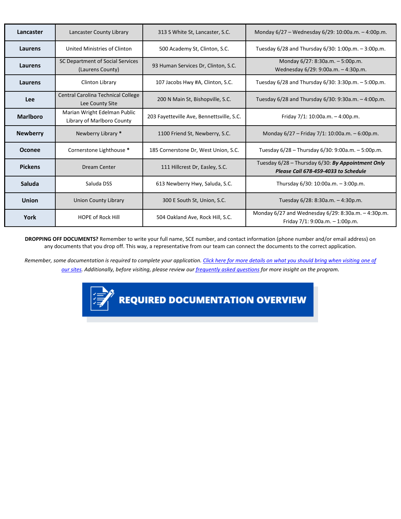| Lancaster       | Lancaster County Library                                   | 313 S White St, Lancaster, S.C.           | Monday 6/27 - Wednesday 6/29: 10:00a.m. - 4:00p.m.                                        |  |
|-----------------|------------------------------------------------------------|-------------------------------------------|-------------------------------------------------------------------------------------------|--|
| Laurens         | United Ministries of Clinton                               | 500 Academy St, Clinton, S.C.             | Tuesday 6/28 and Thursday 6/30: 1:00p.m. - 3:00p.m.                                       |  |
| Laurens         | SC Department of Social Services<br>(Laurens County)       | 93 Human Services Dr, Clinton, S.C.       | Monday 6/27: 8:30a.m. - 5:00p.m.<br>Wednesday 6/29: 9:00a.m. - 4:30p.m.                   |  |
| Laurens         | Clinton Library                                            | 107 Jacobs Hwy #A, Clinton, S.C.          | Tuesday 6/28 and Thursday 6/30: 3:30p.m. - 5:00p.m.                                       |  |
| Lee             | Central Carolina Technical College<br>Lee County Site      | 200 N Main St, Bishopville, S.C.          | Tuesday 6/28 and Thursday 6/30: 9:30a.m. - 4:00p.m.                                       |  |
| <b>Marlboro</b> | Marian Wright Edelman Public<br>Library of Marlboro County | 203 Fayetteville Ave, Bennettsville, S.C. | Friday $7/1: 10:00a.m. - 4:00p.m.$                                                        |  |
| <b>Newberry</b> | Newberry Library *                                         | 1100 Friend St, Newberry, S.C.            | Monday $6/27$ – Friday $7/1$ : 10:00a.m. – 6:00p.m.                                       |  |
| <b>Oconee</b>   | Cornerstone Lighthouse *                                   | 185 Cornerstone Dr, West Union, S.C.      | Tuesday 6/28 - Thursday 6/30: 9:00a.m. - 5:00p.m.                                         |  |
| <b>Pickens</b>  | Dream Center                                               | 111 Hillcrest Dr, Easley, S.C.            | Tuesday 6/28 - Thursday 6/30: By Appointment Only<br>Please Call 678-459-4033 to Schedule |  |
| Saluda          | Saluda DSS                                                 | 613 Newberry Hwy, Saluda, S.C.            | Thursday 6/30: 10:00a.m. - 3:00p.m.                                                       |  |
| <b>Union</b>    | <b>Union County Library</b>                                | 300 E South St, Union, S.C.               | Tuesday 6/28: 8:30a.m. - 4:30p.m.                                                         |  |
| York            | <b>HOPE of Rock Hill</b>                                   | 504 Oakland Ave, Rock Hill, S.C.          | Monday 6/27 and Wednesday 6/29: 8:30a.m. - 4:30p.m.                                       |  |

**DROPPING OFF DOCUMENTS?** Remember to write your full name, SCE number, and contact information (phone number and/or email address) on any documents that you drop off. This way, a representative from our team can connect the documents to the correct application.

*Remember, some documentation is required to complete your application. Click [here for more details on what you should bring when visiting one](https://www.schousing.com/documents/SC-Stay-Plus-Flier.pdf) of [our sites.](https://www.schousing.com/documents/SC-Stay-Plus-Flier.pdf) Additionally, before visiting, please review our [frequently asked questions](https://southcarolina.onlinepha.com/en-US/Pages/View/124/faqs) for more insight on the program.*